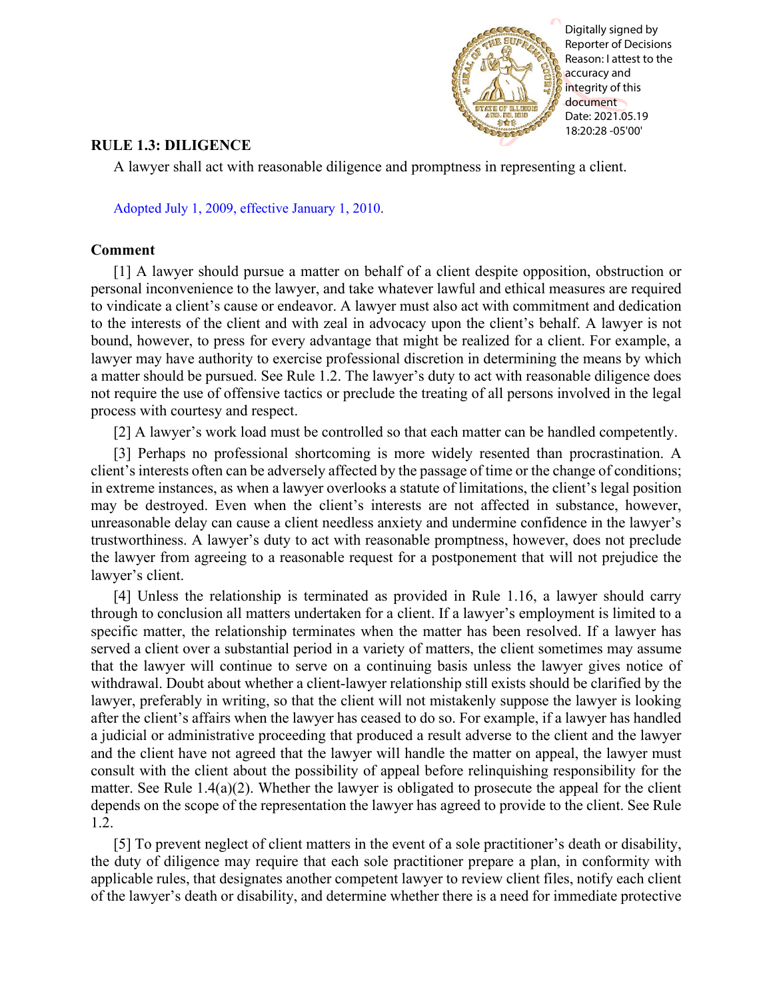

Digitally signed by Reporter of Decisions Reason: I attest to the accuracy and integrity of this document Date: 2021.05.19 18:20:28 -05'00'

## **RULE 1.3: DILIGENCE**

A lawyer shall act with reasonable diligence and promptness in representing a client.

[Adopted July 1, 2009, effective January 1, 2010.](http://www.illinoiscourts.gov/files/070109.pdf/amendment)

## **Comment**

[1] A lawyer should pursue a matter on behalf of a client despite opposition, obstruction or personal inconvenience to the lawyer, and take whatever lawful and ethical measures are required to vindicate a client's cause or endeavor. A lawyer must also act with commitment and dedication to the interests of the client and with zeal in advocacy upon the client's behalf. A lawyer is not bound, however, to press for every advantage that might be realized for a client. For example, a lawyer may have authority to exercise professional discretion in determining the means by which a matter should be pursued. See Rule 1.2. The lawyer's duty to act with reasonable diligence does not require the use of offensive tactics or preclude the treating of all persons involved in the legal process with courtesy and respect.

[2] A lawyer's work load must be controlled so that each matter can be handled competently.

[3] Perhaps no professional shortcoming is more widely resented than procrastination. A client's interests often can be adversely affected by the passage of time or the change of conditions; in extreme instances, as when a lawyer overlooks a statute of limitations, the client's legal position may be destroyed. Even when the client's interests are not affected in substance, however, unreasonable delay can cause a client needless anxiety and undermine confidence in the lawyer's trustworthiness. A lawyer's duty to act with reasonable promptness, however, does not preclude the lawyer from agreeing to a reasonable request for a postponement that will not prejudice the lawyer's client.

[4] Unless the relationship is terminated as provided in Rule 1.16, a lawyer should carry through to conclusion all matters undertaken for a client. If a lawyer's employment is limited to a specific matter, the relationship terminates when the matter has been resolved. If a lawyer has served a client over a substantial period in a variety of matters, the client sometimes may assume that the lawyer will continue to serve on a continuing basis unless the lawyer gives notice of withdrawal. Doubt about whether a client-lawyer relationship still exists should be clarified by the lawyer, preferably in writing, so that the client will not mistakenly suppose the lawyer is looking after the client's affairs when the lawyer has ceased to do so. For example, if a lawyer has handled a judicial or administrative proceeding that produced a result adverse to the client and the lawyer and the client have not agreed that the lawyer will handle the matter on appeal, the lawyer must consult with the client about the possibility of appeal before relinquishing responsibility for the matter. See Rule 1.4(a)(2). Whether the lawyer is obligated to prosecute the appeal for the client depends on the scope of the representation the lawyer has agreed to provide to the client. See Rule 1.2.

[5] To prevent neglect of client matters in the event of a sole practitioner's death or disability, the duty of diligence may require that each sole practitioner prepare a plan, in conformity with applicable rules, that designates another competent lawyer to review client files, notify each client of the lawyer's death or disability, and determine whether there is a need for immediate protective